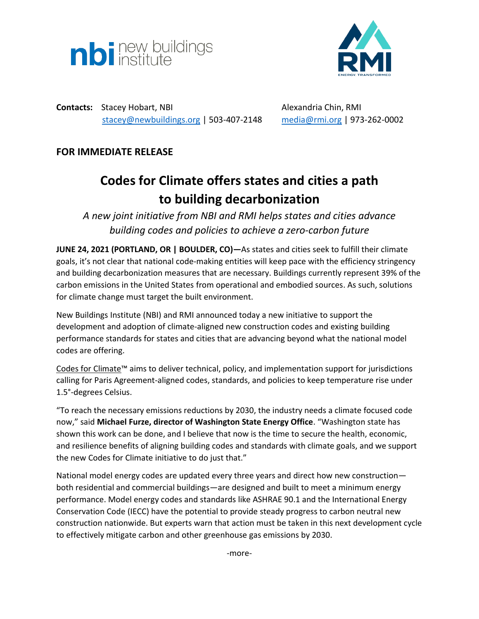



**Contacts:** Stacey Hobart, NBI **Alexandria Chin, RMI** [stacey@newbuildings.org](mailto:stacey@newbuildings.org) | 503-407-2148 [media@rmi.org](mailto:media@rmi.org) | 973-262-0002

# **FOR IMMEDIATE RELEASE**

# **Codes for Climate offers states and cities a path to building decarbonization**

*A new joint initiative from NBI and RMI helps states and cities advance building codes and policies to achieve a zero-carbon future*

**JUNE 24, 2021 (PORTLAND, OR | BOULDER, CO)—**As states and cities seek to fulfill their climate goals, it's not clear that national code-making entities will keep pace with the efficiency stringency and building decarbonization measures that are necessary. Buildings currently represent 39% of the carbon emissions in the United States from operational and embodied sources. As such, solutions for climate change must target the built environment.

New Buildings Institute (NBI) and RMI announced today a new initiative to support the development and adoption of climate-aligned new construction codes and existing building performance standards for states and cities that are advancing beyond what the national model codes are offering.

[Codes for Climate](https://www.codesforclimate.org/)™ aims to deliver technical, policy, and implementation support for jurisdictions calling for Paris Agreement-aligned codes, standards, and policies to keep temperature rise under 1.5°-degrees Celsius.

"To reach the necessary emissions reductions by 2030, the industry needs a climate focused code now," said **Michael Furze, director of Washington State Energy Office**. "Washington state has shown this work can be done, and I believe that now is the time to secure the health, economic, and resilience benefits of aligning building codes and standards with climate goals, and we support the new Codes for Climate initiative to do just that."

National model energy codes are updated every three years and direct how new construction both residential and commercial buildings—are designed and built to meet a minimum energy performance. Model energy codes and standards like ASHRAE 90.1 and the International Energy Conservation Code (IECC) have the potential to provide steady progress to carbon neutral new construction nationwide. But experts warn that action must be taken in this next development cycle to effectively mitigate carbon and other greenhouse gas emissions by 2030.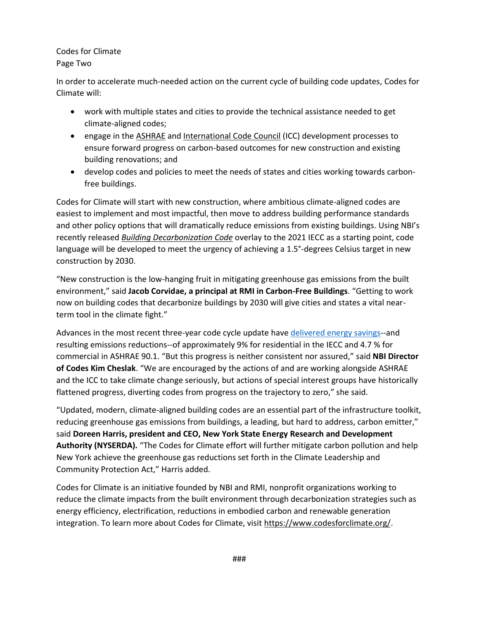## Codes for Climate Page Two

In order to accelerate much-needed action on the current cycle of building code updates, Codes for Climate will:

- work with multiple states and cities to provide the technical assistance needed to get climate-aligned codes;
- engage in the [ASHRAE](https://www.ashrae.org/about/ashrae-task-force-for-building-decarbonization) and [International Code Council](https://www.iccsafe.org/wp-content/uploads/IECC_DevelopmentCommitteeMembers_CommercialResidential_Bio.pdf?utm_medium=email&_hsmi=134484706&_hsenc=p2ANqtz-9qP4FxP1n4qEY4e8xbWR3qWo9kiSWU5iNChksJ52ERRSuvHPLgS1DSaLJmJr6zYH69jJCZ5ovgzm95W7QvWqWvd2vh7g&utm_content=134484706&utm_source=hs_email) (ICC) development processes to ensure forward progress on carbon-based outcomes for new construction and existing building renovations; and
- develop codes and policies to meet the needs of states and cities working towards carbonfree buildings.

Codes for Climate will start with new construction, where ambitious climate-aligned codes are easiest to implement and most impactful, then move to address building performance standards and other policy options that will dramatically reduce emissions from existing buildings. Using NBI's recently released *[Building Decarbonization Code](https://newbuildings.org/resource/building-decarbonization-code/)* overlay to the 2021 IECC as a starting point, code language will be developed to meet the urgency of achieving a 1.5°-degrees Celsius target in new construction by 2030.

"New construction is the low-hanging fruit in mitigating greenhouse gas emissions from the built environment," said **Jacob Corvidae, a principal at RMI in Carbon-Free Buildings**. "Getting to work now on building codes that decarbonize buildings by 2030 will give cities and states a vital nearterm tool in the climate fight."

Advances in the most recent three-year code cycle update hav[e delivered energy](https://www.energycodes.gov/development/determinations) savings--and resulting emissions reductions--of approximately 9% for residential in the IECC and 4.7 % for commercial in ASHRAE 90.1. "But this progress is neither consistent nor assured," said **NBI Director of Codes Kim Cheslak**. "We are encouraged by the actions of and are working alongside ASHRAE and the ICC to take climate change seriously, but actions of special interest groups have historically flattened progress, diverting codes from progress on the trajectory to zero," she said.

"Updated, modern, climate-aligned building codes are an essential part of the infrastructure toolkit, reducing greenhouse gas emissions from buildings, a leading, but hard to address, carbon emitter," said **Doreen Harris, president and CEO, New York State Energy Research and Development Authority (NYSERDA).** "The Codes for Climate effort will further mitigate carbon pollution and help New York achieve the greenhouse gas reductions set forth in the Climate Leadership and Community Protection Act," Harris added.

Codes for Climate is an initiative founded by NBI and RMI, nonprofit organizations working to reduce the climate impacts from the built environment through decarbonization strategies such as energy efficiency, electrification, reductions in embodied carbon and renewable generation integration. To learn more about Codes for Climate, visit [https://www.codesforclimate.org/.](https://www.codesforclimate.org/)